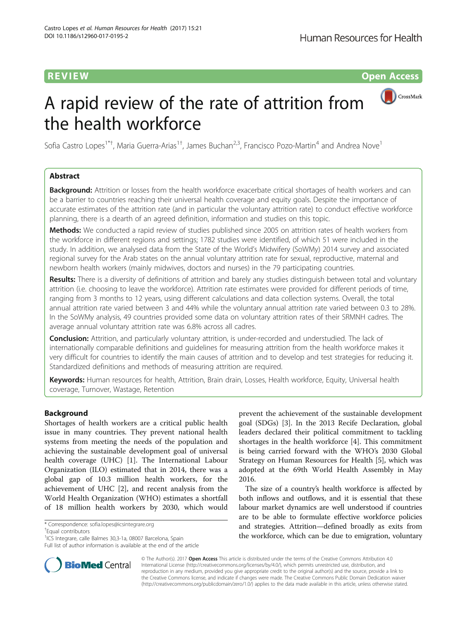**REVIEW CONSIDERING CONSIDERING CONSIDERING CONSIDERING CONSIDERING CONSIDERING CONSIDERING CONSIDERING CONSIDERING CONSIDERING CONSIDERING CONSIDERING CONSIDERING CONSIDERING CONSIDERING CONSIDERING CONSIDERING CONSIDER** 

CrossMark

# A rapid review of the rate of attrition from the health workforce

Sofia Castro Lopes<sup>1\*†</sup>, Maria Guerra-Arias<sup>1†</sup>, James Buchan<sup>2,3</sup>, Francisco Pozo-Martin<sup>4</sup> and Andrea Nove<sup>1</sup>

# Abstract

**Background:** Attrition or losses from the health workforce exacerbate critical shortages of health workers and can be a barrier to countries reaching their universal health coverage and equity goals. Despite the importance of accurate estimates of the attrition rate (and in particular the voluntary attrition rate) to conduct effective workforce planning, there is a dearth of an agreed definition, information and studies on this topic.

Methods: We conducted a rapid review of studies published since 2005 on attrition rates of health workers from the workforce in different regions and settings; 1782 studies were identified, of which 51 were included in the study. In addition, we analysed data from the State of the World's Midwifery (SoWMy) 2014 survey and associated regional survey for the Arab states on the annual voluntary attrition rate for sexual, reproductive, maternal and newborn health workers (mainly midwives, doctors and nurses) in the 79 participating countries.

Results: There is a diversity of definitions of attrition and barely any studies distinguish between total and voluntary attrition (i.e. choosing to leave the workforce). Attrition rate estimates were provided for different periods of time, ranging from 3 months to 12 years, using different calculations and data collection systems. Overall, the total annual attrition rate varied between 3 and 44% while the voluntary annual attrition rate varied between 0.3 to 28%. In the SoWMy analysis, 49 countries provided some data on voluntary attrition rates of their SRMNH cadres. The average annual voluntary attrition rate was 6.8% across all cadres.

Conclusion: Attrition, and particularly voluntary attrition, is under-recorded and understudied. The lack of internationally comparable definitions and guidelines for measuring attrition from the health workforce makes it very difficult for countries to identify the main causes of attrition and to develop and test strategies for reducing it. Standardized definitions and methods of measuring attrition are required.

Keywords: Human resources for health, Attrition, Brain drain, Losses, Health workforce, Equity, Universal health coverage, Turnover, Wastage, Retention

# Background

Shortages of health workers are a critical public health issue in many countries. They prevent national health systems from meeting the needs of the population and achieving the sustainable development goal of universal health coverage (UHC) [\[1](#page-7-0)]. The International Labour Organization (ILO) estimated that in 2014, there was a global gap of 10.3 million health workers, for the achievement of UHC [[2\]](#page-7-0), and recent analysis from the World Health Organization (WHO) estimates a shortfall of 18 million health workers by 2030, which would

Equal contributors

<sup>1</sup>ICS Integrare, calle Balmes 30,3-1a, 08007 Barcelona, Spain Full list of author information is available at the end of the article



The size of a country's health workforce is affected by both inflows and outflows, and it is essential that these labour market dynamics are well understood if countries are to be able to formulate effective workforce policies and strategies. Attrition—defined broadly as exits from the workforce, which can be due to emigration, voluntary



© The Author(s). 2017 **Open Access** This article is distributed under the terms of the Creative Commons Attribution 4.0 International License [\(http://creativecommons.org/licenses/by/4.0/](http://creativecommons.org/licenses/by/4.0/)), which permits unrestricted use, distribution, and reproduction in any medium, provided you give appropriate credit to the original author(s) and the source, provide a link to the Creative Commons license, and indicate if changes were made. The Creative Commons Public Domain Dedication waiver [\(http://creativecommons.org/publicdomain/zero/1.0/](http://creativecommons.org/publicdomain/zero/1.0/)) applies to the data made available in this article, unless otherwise stated.

<sup>\*</sup> Correspondence: [sofia.lopes@icsintegrare.org](mailto:sofia.lopes@icsintegrare.org) †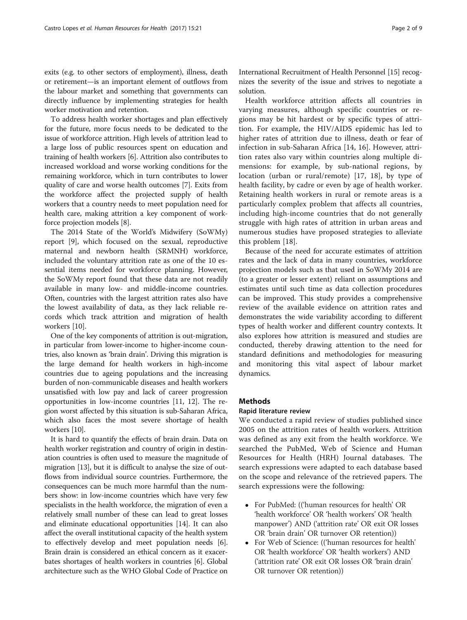exits (e.g. to other sectors of employment), illness, death or retirement—is an important element of outflows from the labour market and something that governments can directly influence by implementing strategies for health worker motivation and retention.

To address health worker shortages and plan effectively for the future, more focus needs to be dedicated to the issue of workforce attrition. High levels of attrition lead to a large loss of public resources spent on education and training of health workers [\[6\]](#page-7-0). Attrition also contributes to increased workload and worse working conditions for the remaining workforce, which in turn contributes to lower quality of care and worse health outcomes [\[7](#page-7-0)]. Exits from the workforce affect the projected supply of health workers that a country needs to meet population need for health care, making attrition a key component of workforce projection models [\[8](#page-7-0)].

The 2014 State of the World's Midwifery (SoWMy) report [\[9](#page-7-0)], which focused on the sexual, reproductive maternal and newborn health (SRMNH) workforce, included the voluntary attrition rate as one of the 10 essential items needed for workforce planning. However, the SoWMy report found that these data are not readily available in many low- and middle-income countries. Often, countries with the largest attrition rates also have the lowest availability of data, as they lack reliable records which track attrition and migration of health workers [\[10](#page-7-0)].

One of the key components of attrition is out-migration, in particular from lower-income to higher-income countries, also known as 'brain drain'. Driving this migration is the large demand for health workers in high-income countries due to ageing populations and the increasing burden of non-communicable diseases and health workers unsatisfied with low pay and lack of career progression opportunities in low-income countries [\[11, 12](#page-7-0)]. The region worst affected by this situation is sub-Saharan Africa, which also faces the most severe shortage of health workers [\[10\]](#page-7-0).

It is hard to quantify the effects of brain drain. Data on health worker registration and country of origin in destination countries is often used to measure the magnitude of migration [[13](#page-7-0)], but it is difficult to analyse the size of outflows from individual source countries. Furthermore, the consequences can be much more harmful than the numbers show: in low-income countries which have very few specialists in the health workforce, the migration of even a relatively small number of these can lead to great losses and eliminate educational opportunities [[14](#page-7-0)]. It can also affect the overall institutional capacity of the health system to effectively develop and meet population needs [[6](#page-7-0)]. Brain drain is considered an ethical concern as it exacerbates shortages of health workers in countries [[6](#page-7-0)]. Global architecture such as the WHO Global Code of Practice on

International Recruitment of Health Personnel [[15](#page-7-0)] recognizes the severity of the issue and strives to negotiate a solution.

Health workforce attrition affects all countries in varying measures, although specific countries or regions may be hit hardest or by specific types of attrition. For example, the HIV/AIDS epidemic has led to higher rates of attrition due to illness, death or fear of infection in sub-Saharan Africa [[14, 16](#page-7-0)]. However, attrition rates also vary within countries along multiple dimensions: for example, by sub-national regions, by location (urban or rural/remote) [[17](#page-7-0), [18](#page-7-0)], by type of health facility, by cadre or even by age of health worker. Retaining health workers in rural or remote areas is a particularly complex problem that affects all countries, including high-income countries that do not generally struggle with high rates of attrition in urban areas and numerous studies have proposed strategies to alleviate this problem [[18\]](#page-7-0).

Because of the need for accurate estimates of attrition rates and the lack of data in many countries, workforce projection models such as that used in SoWMy 2014 are (to a greater or lesser extent) reliant on assumptions and estimates until such time as data collection procedures can be improved. This study provides a comprehensive review of the available evidence on attrition rates and demonstrates the wide variability according to different types of health worker and different country contexts. It also explores how attrition is measured and studies are conducted, thereby drawing attention to the need for standard definitions and methodologies for measuring and monitoring this vital aspect of labour market dynamics.

# **Methods**

# Rapid literature review

We conducted a rapid review of studies published since 2005 on the attrition rates of health workers. Attrition was defined as any exit from the health workforce. We searched the PubMed, Web of Science and Human Resources for Health (HRH) Journal databases. The search expressions were adapted to each database based on the scope and relevance of the retrieved papers. The search expressions were the following:

- For PubMed: (('human resources for health' OR 'health workforce' OR 'health workers' OR 'health manpower') AND ('attrition rate' OR exit OR losses OR 'brain drain' OR turnover OR retention))
- For Web of Science: (('human resources for health' OR 'health workforce' OR 'health workers') AND ('attrition rate' OR exit OR losses OR 'brain drain' OR turnover OR retention))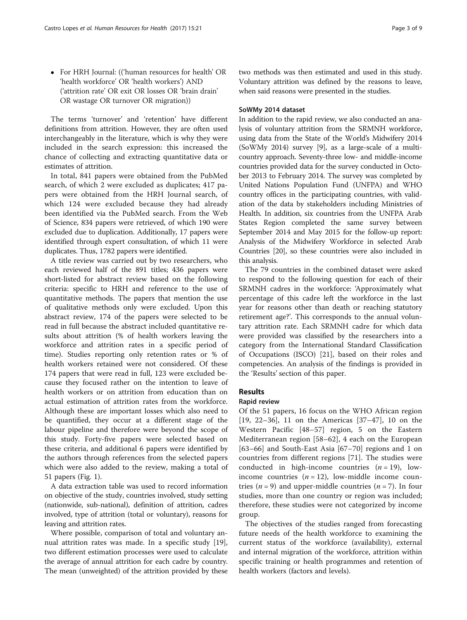For HRH Journal: (('human resources for health' OR 'health workforce' OR 'health workers') AND ('attrition rate' OR exit OR losses OR 'brain drain' OR wastage OR turnover OR migration))

The terms 'turnover' and 'retention' have different definitions from attrition. However, they are often used interchangeably in the literature, which is why they were included in the search expression: this increased the chance of collecting and extracting quantitative data or estimates of attrition.

In total, 841 papers were obtained from the PubMed search, of which 2 were excluded as duplicates; 417 papers were obtained from the HRH Journal search, of which 124 were excluded because they had already been identified via the PubMed search. From the Web of Science, 834 papers were retrieved, of which 190 were excluded due to duplication. Additionally, 17 papers were identified through expert consultation, of which 11 were duplicates. Thus, 1782 papers were identified.

A title review was carried out by two researchers, who each reviewed half of the 891 titles; 436 papers were short-listed for abstract review based on the following criteria: specific to HRH and reference to the use of quantitative methods. The papers that mention the use of qualitative methods only were excluded. Upon this abstract review, 174 of the papers were selected to be read in full because the abstract included quantitative results about attrition (% of health workers leaving the workforce and attrition rates in a specific period of time). Studies reporting only retention rates or % of health workers retained were not considered. Of these 174 papers that were read in full, 123 were excluded because they focused rather on the intention to leave of health workers or on attrition from education than on actual estimation of attrition rates from the workforce. Although these are important losses which also need to be quantified, they occur at a different stage of the labour pipeline and therefore were beyond the scope of this study. Forty-five papers were selected based on these criteria, and additional 6 papers were identified by the authors through references from the selected papers which were also added to the review, making a total of 51 papers (Fig. [1\)](#page-5-0).

A data extraction table was used to record information on objective of the study, countries involved, study setting (nationwide, sub-national), definition of attrition, cadres involved, type of attrition (total or voluntary), reasons for leaving and attrition rates.

Where possible, comparison of total and voluntary annual attrition rates was made. In a specific study [\[19](#page-7-0)], two different estimation processes were used to calculate the average of annual attrition for each cadre by country. The mean (unweighted) of the attrition provided by these

two methods was then estimated and used in this study. Voluntary attrition was defined by the reasons to leave, when said reasons were presented in the studies.

# SoWMy 2014 dataset

In addition to the rapid review, we also conducted an analysis of voluntary attrition from the SRMNH workforce, using data from the State of the World's Midwifery 2014 (SoWMy 2014) survey [\[9](#page-7-0)], as a large-scale of a multicountry approach. Seventy-three low- and middle-income countries provided data for the survey conducted in October 2013 to February 2014. The survey was completed by United Nations Population Fund (UNFPA) and WHO country offices in the participating countries, with validation of the data by stakeholders including Ministries of Health. In addition, six countries from the UNFPA Arab States Region completed the same survey between September 2014 and May 2015 for the follow-up report: Analysis of the Midwifery Workforce in selected Arab Countries [\[20\]](#page-7-0), so these countries were also included in this analysis.

The 79 countries in the combined dataset were asked to respond to the following question for each of their SRMNH cadres in the workforce: 'Approximately what percentage of this cadre left the workforce in the last year for reasons other than death or reaching statutory retirement age?'. This corresponds to the annual voluntary attrition rate. Each SRMNH cadre for which data were provided was classified by the researchers into a category from the International Standard Classification of Occupations (ISCO) [\[21](#page-7-0)], based on their roles and competencies. An analysis of the findings is provided in the 'Results' section of this paper.

# Results

# Rapid review

Of the 51 papers, 16 focus on the WHO African region [[19, 22](#page-7-0)–[36](#page-8-0)], 11 on the Americas [\[37](#page-8-0)–[47](#page-8-0)], 10 on the Western Pacific [[48](#page-8-0)–[57](#page-8-0)] region, 5 on the Eastern Mediterranean region [[58](#page-8-0)–[62\]](#page-8-0), 4 each on the European [[63](#page-8-0)–[66\]](#page-8-0) and South-East Asia [[67](#page-8-0)–[70\]](#page-8-0) regions and 1 on countries from different regions [\[71](#page-8-0)]. The studies were conducted in high-income countries  $(n = 19)$ , lowincome countries  $(n = 12)$ , low-middle income countries ( $n = 9$ ) and upper-middle countries ( $n = 7$ ). In four studies, more than one country or region was included; therefore, these studies were not categorized by income group.

The objectives of the studies ranged from forecasting future needs of the health workforce to examining the current status of the workforce (availability), external and internal migration of the workforce, attrition within specific training or health programmes and retention of health workers (factors and levels).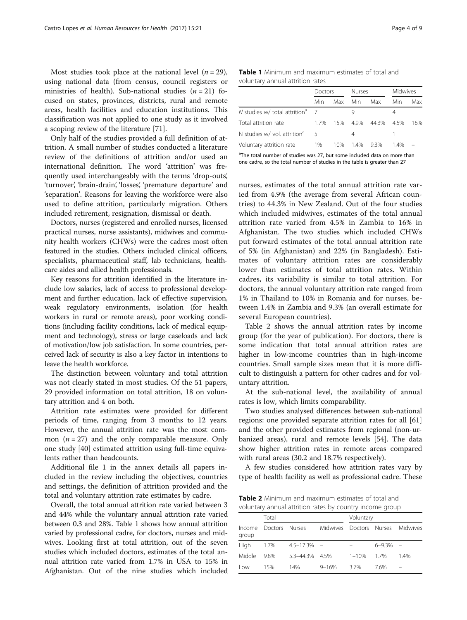Most studies took place at the national level ( $n = 29$ ), using national data (from census, council registers or ministries of health). Sub-national studies  $(n = 21)$  focused on states, provinces, districts, rural and remote areas, health facilities and education institutions. This classification was not applied to one study as it involved a scoping review of the literature [[71\]](#page-8-0).

Only half of the studies provided a full definition of attrition. A small number of studies conducted a literature review of the definitions of attrition and/or used an international definition. The word 'attrition' was frequently used interchangeably with the terms 'drop-outs', 'turnover', 'brain-drain', 'losses', 'premature departure' and 'separation'. Reasons for leaving the workforce were also used to define attrition, particularly migration. Others included retirement, resignation, dismissal or death.

Doctors, nurses (registered and enrolled nurses, licensed practical nurses, nurse assistants), midwives and community health workers (CHWs) were the cadres most often featured in the studies. Others included clinical officers, specialists, pharmaceutical staff, lab technicians, healthcare aides and allied health professionals.

Key reasons for attrition identified in the literature include low salaries, lack of access to professional development and further education, lack of effective supervision, weak regulatory environments, isolation (for health workers in rural or remote areas), poor working conditions (including facility conditions, lack of medical equipment and technology), stress or large caseloads and lack of motivation/low job satisfaction. In some countries, perceived lack of security is also a key factor in intentions to leave the health workforce.

The distinction between voluntary and total attrition was not clearly stated in most studies. Of the 51 papers, 29 provided information on total attrition, 18 on voluntary attrition and 4 on both.

Attrition rate estimates were provided for different periods of time, ranging from 3 months to 12 years. However, the annual attrition rate was the most common  $(n = 27)$  and the only comparable measure. Only one study [[40\]](#page-8-0) estimated attrition using full-time equivalents rather than headcounts.

Additional file [1](#page-6-0) in the annex details all papers included in the review including the objectives, countries and settings, the definition of attrition provided and the total and voluntary attrition rate estimates by cadre.

Overall, the total annual attrition rate varied between 3 and 44% while the voluntary annual attrition rate varied between 0.3 and 28%. Table 1 shows how annual attrition varied by professional cadre, for doctors, nurses and midwives. Looking first at total attrition, out of the seven studies which included doctors, estimates of the total annual attrition rate varied from 1.7% in USA to 15% in Afghanistan. Out of the nine studies which included

Table 1 Minimum and maximum estimates of total and voluntary annual attrition rates

|                                             | Doctors |     | <b>Nurses</b> |         | <b>Midwives</b> |     |
|---------------------------------------------|---------|-----|---------------|---------|-----------------|-----|
|                                             | Min     | Max | Min           | Max     | Min             | Max |
| N studies w/ total attrition <sup>a</sup> 7 |         |     | Q             |         | 4               |     |
| Total attrition rate                        | 17%     | 15% | 4 9%          | 44 3%   | 45%             | 16% |
| N studies w/ vol. attrition <sup>a</sup>    | 5       |     | 4             |         |                 |     |
| Voluntary attrition rate                    | 1%      | 10% | 14%           | $9.3\%$ | 14%             |     |

<sup>a</sup>The total number of studies was 27, but some included data on more than one cadre, so the total number of studies in the table is greater than 27

nurses, estimates of the total annual attrition rate varied from 4.9% (the average from several African countries) to 44.3% in New Zealand. Out of the four studies which included midwives, estimates of the total annual attrition rate varied from 4.5% in Zambia to 16% in Afghanistan. The two studies which included CHWs put forward estimates of the total annual attrition rate of 5% (in Afghanistan) and 22% (in Bangladesh). Estimates of voluntary attrition rates are considerably lower than estimates of total attrition rates. Within cadres, its variability is similar to total attrition. For doctors, the annual voluntary attrition rate ranged from 1% in Thailand to 10% in Romania and for nurses, between 1.4% in Zambia and 9.3% (an overall estimate for several European countries).

Table 2 shows the annual attrition rates by income group (for the year of publication). For doctors, there is some indication that total annual attrition rates are higher in low-income countries than in high-income countries. Small sample sizes mean that it is more difficult to distinguish a pattern for other cadres and for voluntary attrition.

At the sub-national level, the availability of annual rates is low, which limits comparability.

Two studies analysed differences between sub-national regions: one provided separate attrition rates for all [[61](#page-8-0)] and the other provided estimates from regional (non-urbanized areas), rural and remote levels [\[54](#page-8-0)]. The data show higher attrition rates in remote areas compared with rural areas (30.2 and 18.7% respectively).

A few studies considered how attrition rates vary by type of health facility as well as professional cadre. These

Table 2 Minimum and maximum estimates of total and voluntary annual attrition rates by country income group

|                 | Total   |                 |                                  | Voluntary |            |     |  |
|-----------------|---------|-----------------|----------------------------------|-----------|------------|-----|--|
| Income<br>group | Doctors | <b>Nurses</b>   | Midwives Doctors Nurses Midwives |           |            |     |  |
| High            | 1.7%    | $4.5 - 17.3% =$ |                                  |           | $6 - 9.3%$ |     |  |
| Middle          | 98%     | 5.3-44.3%       | 45%                              | $1 - 10%$ | 17%        | 14% |  |
| Low             | 15%     | 14%             | $9 - 16%$                        | 3.7%      | 7.6%       |     |  |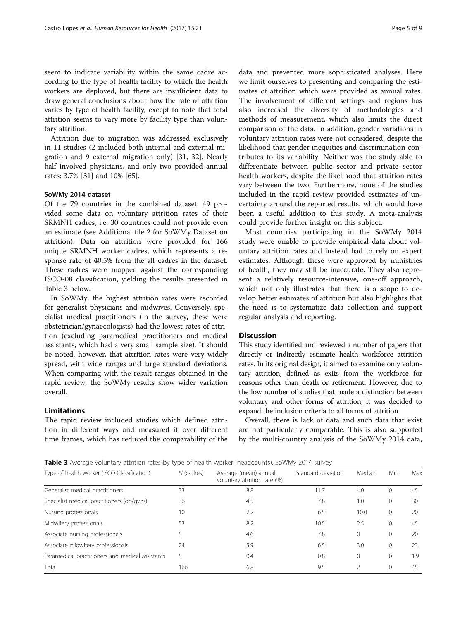seem to indicate variability within the same cadre according to the type of health facility to which the health workers are deployed, but there are insufficient data to draw general conclusions about how the rate of attrition varies by type of health facility, except to note that total attrition seems to vary more by facility type than voluntary attrition.

Attrition due to migration was addressed exclusively in 11 studies (2 included both internal and external migration and 9 external migration only) [[31, 32](#page-7-0)]. Nearly half involved physicians, and only two provided annual rates: 3.7% [\[31](#page-7-0)] and 10% [[65\]](#page-8-0).

# SoWMy 2014 dataset

Of the 79 countries in the combined dataset, 49 provided some data on voluntary attrition rates of their SRMNH cadres, i.e. 30 countries could not provide even an estimate (see Additional file [2](#page-6-0) for SoWMy Dataset on attrition). Data on attrition were provided for 166 unique SRMNH worker cadres, which represents a response rate of 40.5% from the all cadres in the dataset. These cadres were mapped against the corresponding ISCO-08 classification, yielding the results presented in Table 3 below.

In SoWMy, the highest attrition rates were recorded for generalist physicians and midwives. Conversely, specialist medical practitioners (in the survey, these were obstetrician/gynaecologists) had the lowest rates of attrition (excluding paramedical practitioners and medical assistants, which had a very small sample size). It should be noted, however, that attrition rates were very widely spread, with wide ranges and large standard deviations. When comparing with the result ranges obtained in the rapid review, the SoWMy results show wider variation overall.

# Limitations

The rapid review included studies which defined attrition in different ways and measured it over different time frames, which has reduced the comparability of the data and prevented more sophisticated analyses. Here we limit ourselves to presenting and comparing the estimates of attrition which were provided as annual rates. The involvement of different settings and regions has also increased the diversity of methodologies and methods of measurement, which also limits the direct comparison of the data. In addition, gender variations in voluntary attrition rates were not considered, despite the likelihood that gender inequities and discrimination contributes to its variability. Neither was the study able to differentiate between public sector and private sector health workers, despite the likelihood that attrition rates vary between the two. Furthermore, none of the studies included in the rapid review provided estimates of uncertainty around the reported results, which would have been a useful addition to this study. A meta-analysis could provide further insight on this subject.

Most countries participating in the SoWMy 2014 study were unable to provide empirical data about voluntary attrition rates and instead had to rely on expert estimates. Although these were approved by ministries of health, they may still be inaccurate. They also represent a relatively resource-intensive, one-off approach, which not only illustrates that there is a scope to develop better estimates of attrition but also highlights that the need is to systematize data collection and support regular analysis and reporting.

# **Discussion**

This study identified and reviewed a number of papers that directly or indirectly estimate health workforce attrition rates. In its original design, it aimed to examine only voluntary attrition, defined as exits from the workforce for reasons other than death or retirement. However, due to the low number of studies that made a distinction between voluntary and other forms of attrition, it was decided to expand the inclusion criteria to all forms of attrition.

Overall, there is lack of data and such data that exist are not particularly comparable. This is also supported by the multi-country analysis of the SoWMy 2014 data,

**Table 3** Average voluntary attrition rates by type of health worker (headcounts), SoWMy 2014 survey

|                                                  | $\overline{\phantom{a}}$ |                                                       |                    |        |              |     |
|--------------------------------------------------|--------------------------|-------------------------------------------------------|--------------------|--------|--------------|-----|
| Type of health worker (ISCO Classification)      | N (cadres)               | Average (mean) annual<br>voluntary attrition rate (%) | Standard deviation | Median | Min          | Max |
| Generalist medical practitioners                 | 33                       | 8.8                                                   | 11.7               | 4.0    | $\Omega$     | 45  |
| Specialist medical practitioners (ob/gyns)       | 36                       | 4.5                                                   | 7.8                | 1.0    | $\mathbf 0$  | 30  |
| Nursing professionals                            | 10                       | 7.2                                                   | 6.5                | 10.0   | $\circ$      | 20  |
| Midwifery professionals                          | 53                       | 8.2                                                   | 10.5               | 2.5    | $\circ$      | 45  |
| Associate nursing professionals                  |                          | 4.6                                                   | 7.8                | 0      | $\circ$      | 20  |
| Associate midwifery professionals                | 24                       | 5.9                                                   | 6.5                | 3.0    | $\mathbf{0}$ | 23  |
| Paramedical practitioners and medical assistants | 5                        | 0.4                                                   | 0.8                | 0      | $\Omega$     | 1.9 |
| Total                                            | 166                      | 6.8                                                   | 9.5                |        | $\Omega$     | 45  |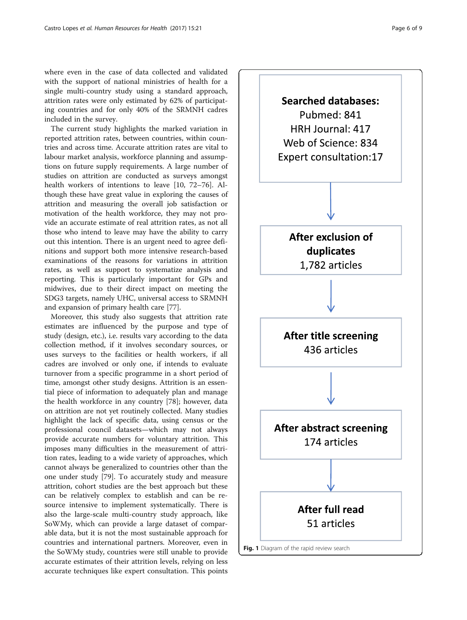<span id="page-5-0"></span>where even in the case of data collected and validated with the support of national ministries of health for a single multi-country study using a standard approach, attrition rates were only estimated by 62% of participating countries and for only 40% of the SRMNH cadres included in the survey.

The current study highlights the marked variation in reported attrition rates, between countries, within countries and across time. Accurate attrition rates are vital to labour market analysis, workforce planning and assumptions on future supply requirements. A large number of studies on attrition are conducted as surveys amongst health workers of intentions to leave [[10](#page-7-0), [72](#page-8-0)–[76](#page-8-0)]. Although these have great value in exploring the causes of attrition and measuring the overall job satisfaction or motivation of the health workforce, they may not provide an accurate estimate of real attrition rates, as not all those who intend to leave may have the ability to carry out this intention. There is an urgent need to agree definitions and support both more intensive research-based examinations of the reasons for variations in attrition rates, as well as support to systematize analysis and reporting. This is particularly important for GPs and midwives, due to their direct impact on meeting the SDG3 targets, namely UHC, universal access to SRMNH and expansion of primary health care [[77\]](#page-8-0).

Moreover, this study also suggests that attrition rate estimates are influenced by the purpose and type of study (design, etc.), i.e. results vary according to the data collection method, if it involves secondary sources, or uses surveys to the facilities or health workers, if all cadres are involved or only one, if intends to evaluate turnover from a specific programme in a short period of time, amongst other study designs. Attrition is an essential piece of information to adequately plan and manage the health workforce in any country [[78\]](#page-8-0); however, data on attrition are not yet routinely collected. Many studies highlight the lack of specific data, using census or the professional council datasets—which may not always provide accurate numbers for voluntary attrition. This imposes many difficulties in the measurement of attrition rates, leading to a wide variety of approaches, which cannot always be generalized to countries other than the one under study [\[79](#page-8-0)]. To accurately study and measure attrition, cohort studies are the best approach but these can be relatively complex to establish and can be resource intensive to implement systematically. There is also the large-scale multi-country study approach, like SoWMy, which can provide a large dataset of comparable data, but it is not the most sustainable approach for countries and international partners. Moreover, even in the SoWMy study, countries were still unable to provide accurate estimates of their attrition levels, relying on less accurate techniques like expert consultation. This points



**After full read** 51 articles

Fig. 1 Diagram of the rapid review search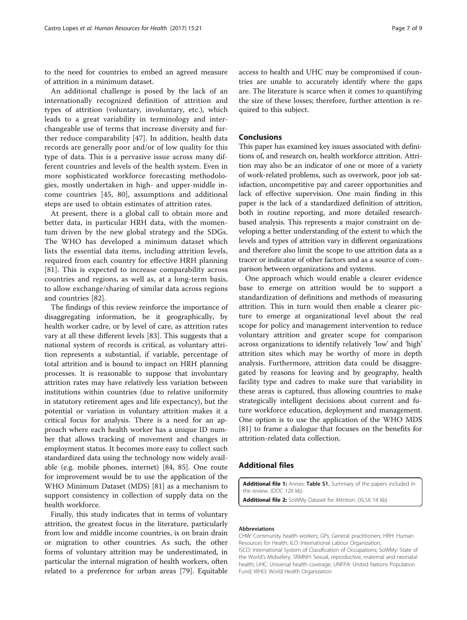<span id="page-6-0"></span>to the need for countries to embed an agreed measure of attrition in a minimum dataset.

An additional challenge is posed by the lack of an internationally recognized definition of attrition and types of attrition (voluntary, involuntary, etc.), which leads to a great variability in terminology and interchangeable use of terms that increase diversity and further reduce comparability [\[47](#page-8-0)]. In addition, health data records are generally poor and/or of low quality for this type of data. This is a pervasive issue across many different countries and levels of the health system. Even in more sophisticated workforce forecasting methodologies, mostly undertaken in high- and upper-middle income countries [\[45](#page-8-0), [80\]](#page-8-0), assumptions and additional steps are used to obtain estimates of attrition rates.

At present, there is a global call to obtain more and better data, in particular HRH data, with the momentum driven by the new global strategy and the SDGs. The WHO has developed a minimum dataset which lists the essential data items, including attrition levels, required from each country for effective HRH planning [[81\]](#page-8-0). This is expected to increase comparability across countries and regions, as well as, at a long-term basis, to allow exchange/sharing of similar data across regions and countries [[82\]](#page-8-0).

The findings of this review reinforce the importance of disaggregating information, be it geographically, by health worker cadre, or by level of care, as attrition rates vary at all these different levels [[83](#page-8-0)]. This suggests that a national system of records is critical, as voluntary attrition represents a substantial, if variable, percentage of total attrition and is bound to impact on HRH planning processes. It is reasonable to suppose that involuntary attrition rates may have relatively less variation between institutions within countries (due to relative uniformity in statutory retirement ages and life expectancy), but the potential or variation in voluntary attrition makes it a critical focus for analysis. There is a need for an approach where each health worker has a unique ID number that allows tracking of movement and changes in employment status. It becomes more easy to collect such standardized data using the technology now widely available (e.g. mobile phones, internet) [[84](#page-8-0), [85\]](#page-8-0). One route for improvement would be to use the application of the WHO Minimum Dataset (MDS) [\[81\]](#page-8-0) as a mechanism to support consistency in collection of supply data on the health workforce.

Finally, this study indicates that in terms of voluntary attrition, the greatest focus in the literature, particularly from low and middle income countries, is on brain drain or migration to other countries. As such, the other forms of voluntary attrition may be underestimated, in particular the internal migration of health workers, often related to a preference for urban areas [\[79](#page-8-0)]. Equitable

access to health and UHC may be compromised if countries are unable to accurately identify where the gaps are. The literature is scarce when it comes to quantifying the size of these losses; therefore, further attention is required to this subject.

# Conclusions

This paper has examined key issues associated with definitions of, and research on, health workforce attrition. Attrition may also be an indicator of one or more of a variety of work-related problems, such as overwork, poor job satisfaction, uncompetitive pay and career opportunities and lack of effective supervision. One main finding in this paper is the lack of a standardized definition of attrition, both in routine reporting, and more detailed researchbased analysis. This represents a major constraint on developing a better understanding of the extent to which the levels and types of attrition vary in different organizations and therefore also limit the scope to use attrition data as a tracer or indicator of other factors and as a source of comparison between organizations and systems.

One approach which would enable a clearer evidence base to emerge on attrition would be to support a standardization of definitions and methods of measuring attrition. This in turn would then enable a clearer picture to emerge at organizational level about the real scope for policy and management intervention to reduce voluntary attrition and greater scope for comparison across organizations to identify relatively 'low' and 'high' attrition sites which may be worthy of more in depth analysis. Furthermore, attrition data could be disaggregated by reasons for leaving and by geography, health facility type and cadres to make sure that variability in these areas is captured, thus allowing countries to make strategically intelligent decisions about current and future workforce education, deployment and management. One option is to use the application of the WHO MDS [[81\]](#page-8-0) to frame a dialogue that focuses on the benefits for attrition-related data collection.

# Additional files

[Additional file 1:](dx.doi.org/10.1186/s12960-017-0195-2) Annex: Table S1. Summary of the papers included in the review. (DOC 120 kb)

[Additional file 2:](dx.doi.org/10.1186/s12960-017-0195-2) SoWMy Dataset for Attrition. (XLSX 14 kb)

#### Abbreviations

CHW: Community health workers; GPs: General practitioners; HRH: Human Resources for Health; ILO: International Labour Organization; ISCO: International System of Classification of Occupations; SoWMy: State of the World's Midwifery; SRMNH: Sexual, reproductive, maternal and neonatal health; UHC: Universal health coverage; UNFPA: United Nations Population Fund; WHO: World Health Organization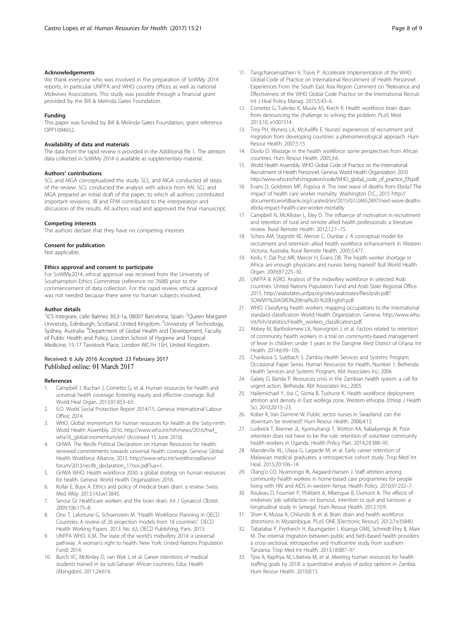# <span id="page-7-0"></span>Acknowledgements

We thank everyone who was involved in the preparation of SoWMy 2014 reports, in particular UNFPA and WHO country offices as well as national Midwives Associations. This study was possible through a financial grant provided by the Bill & Melinda Gates Foundation.

### Funding

This paper was funded by Bill & Melinda Gates Foundation, grant reference OPP1094652.

### Availability of data and materials

The data from the rapid review is provided in the Additional file [1.](#page-6-0) The attrition data collected in SoWMy 2014 is available as supplementary material.

#### Authors' contributions

SCL and MGA conceptualized the study. SCL and MGA conducted all steps of the review. SCL conducted the analysis with advice from AN. SCL and MGA prepared an initial draft of the paper, to which all authors contributed important revisions. JB and FPM contributed to the interpreation and discussion of the results. All authors read and approved the final manuscript.

#### Competing interests

The authors declare that they have no competing interests.

#### Consent for publication

Not applicable.

#### Ethics approval and consent to participate

For SoWMy2014, ethical approval was received from the University of Southampton Ethics Committee (reference no 7688) prior to the commencement of data collection. For the rapid review, ethical approval was not needed because there were no human subjects involved.

#### Author details

<sup>1</sup>ICS Integrare, calle Balmes 30,3-1a, 08007 Barcelona, Spain. <sup>2</sup>Queen Margaret University, Edinburgh, Scotland, United Kingdom. <sup>3</sup>University of Technology, Sydney, Australia. <sup>4</sup>Department of Global Health and Development, Faculty of Public Health and Policy, London School of Hygiene and Tropical Medicine, 15-17 Tavistock Place, London WC1H 1SH, United Kingdom.

#### Received: 6 July 2016 Accepted: 23 February 2017 Published online: 01 March 2017

#### References

- Campbell J, Buchan J, Cometto G, et al. Human resources for health and universal health coverage: fostering equity and effective coverage. Bull World Heal Organ. 2013;91:853–63.
- ILO. World Social Protection Report 2014/15. Geneva: International Labour Office; 2014.
- 3. WHO. Global momentum for human resources for health at the Sixty-ninth World Health Assembly. 2016. [http://www.who.int/hrh/news/2016/hwf\\_](http://www.who.int/hrh/news/2016/hwf_wha16_global-momentum/en/) [wha16\\_global-momentum/en/](http://www.who.int/hrh/news/2016/hwf_wha16_global-momentum/en/) (Accessed 15 June 2016).
- 4. GHWA. The Recife Political Declaration on Human Resources for Health: renewed commitments towards universal health coverage. Geneva: Global Health Workforce Alliance; 2013. [http://www.who.int/workforcealliance/](http://www.who.int/workforcealliance/forum/2013/recife_declaration_17nov.pdf?ua=1) [forum/2013/recife\\_declaration\\_17nov.pdf?ua=1.](http://www.who.int/workforcealliance/forum/2013/recife_declaration_17nov.pdf?ua=1)
- 5. GHWA WHO. Health workforce 2030: a global strategy on human resources for health. Geneva: World Health Organization; 2016.
- 6. Kollar E, Buyx A. Ethics and policy of medical brain drain: a review. Swiss Med Wkly. 2013;143:w13845.
- 7. Serour GI. Healthcare workers and the brain drain. Int J Gynaecol Obstet. 2009;106:175–8.
- 8. Ono T, Lafortune G, Schoenstein M. "Health Workforce Planning in OECD Countries: A review of 26 projection models from 18 countries". OECD Health Working Papers. 2013. No. 62, OECD Publishing, Paris. 2013.
- 9. UNFPA WHO. ICM. The state of the world's midwifery 2014: a universal pathway. A woman's right to health. New York: United Nations Population Fund; 2014.
- 10. Burch VC, McKinley D, van Wyk J, et al. Career intentions of medical students trained in six sub-Saharan African countries. Educ Health (Abingdon). 2011;24:614.
- 11. Tangcharoensathien V, Travis P. Accelerate Implementation of the WHO Global Code of Practice on International Recruitment of Health Personnel: Experiences From the South East Asia Region Comment on "Relevance and Effectiveness of the WHO Global Code Practice on the International Recruit. Int J Heal Policy Manag. 2015;5:43–6.
- 12. Cometto G, Tulenko K, Muula AS, Krech R. Health workforce brain drain: from denouncing the challenge to solving the problem. PLoS Med. 2013;10, e1001514.
- 13. Troy PH, Wyness LA, McAuliffe E. Nurses' experiences of recruitment and migration from developing countries: a phenomenological approach. Hum Resour Health. 2007;5:15.
- 14. Dovlo D. Wastage in the health workforce: some perspectives from African countries. Hum Resour Health. 2005;3:6.
- 15. World Health Assembly. WHO Global Code of Practice on the International Recruitment of Health Personnel. Geneva: World Health Organization; 2010. [http://www.who.int/hrh/migration/code/WHO\\_global\\_code\\_of\\_practice\\_EN.pdf](http://www.who.int/hrh/migration/code/WHO_global_code_of_practice_EN.pdf).
- 16. Evans D, Goldstein MP, Popova A. The next wave of deaths from Ebola? The impact of health care worker mortality. Washington D.C., 2015 http:// documents.worldbank.org/curated/en/2015/07/24652897/next-wave-deathsebola-impact-health-care-worker-mortality
- 17. Campbell N, McAllister L, Eley D. The influence of motivation in recruitment and retention of rural and remote allied health professionals: a literature review. Rural Remote Health. 2012;12:1–15.
- 18. Schoo AM, Stagnitti KE, Mercer C, Dunbar J. A conceptual model for recruitment and retention: allied health workforce enhancement in Western Victoria, Australia. Rural Remote Health. 2005;5:477.
- 19. Kinfu Y, Dal Poz MR, Mercer H, Evans DB. The health worker shortage in Africa: are enough physicians and nurses being trained? Bull World Health Organ. 2009;87:225–30.
- 20. UNFPA & ASRO. Analysis of the midwifery workforce in selected Arab countries. United Nations Population Fund and Arab State Regional Office. 2015. [http://arabstates.unfpa.org/sites/arabstates/files/pub-pdf/](http://arabstates.unfpa.org/sites/arabstates/files/pub-pdf/SOWMY%20ASRO%20final%20-%20English.pdf) [SOWMY%20ASRO%20final%20-%20English.pdf](http://arabstates.unfpa.org/sites/arabstates/files/pub-pdf/SOWMY%20ASRO%20final%20-%20English.pdf).
- 21. WHO. Classifying health workers: mapping occupations to the international standard classification World Health Organization. Geneva. [http://www.who.](http://www.who.int/hrh/statistics/Health_workers_classification.pdf) [int/hrh/statistics/Health\\_workers\\_classification.pdf](http://www.who.int/hrh/statistics/Health_workers_classification.pdf).
- 22. Abbey M, Bartholomew LK, Nonvignon J, et al. Factors related to retention of community health workers in a trial on community-based management of fever in children under 5 years in the Dangme West District of Ghana. Int Health. 2014;6:99–105.
- 23. Chankova S, Sulzbach S. Zambia Health Services and Systems Program. Occasional Paper Series. Human Resources for Health, Number 1. Bethesda: Health Services and Systems Program, Abt Associates Inc; 2006.
- 24. Galaty D, Banda P. Resources crisis in the Zambian health system: a call for urgent action. Bethesda: Abt Associates Inc.; 2005.
- 25. Hailemichael Y, Jira C, Girma B, Tushune K. Health workforce deployment, attrition and density in East wollega zone, Western ethiopia. Ethiop J Health Sci. 2010;20:15–23.
- 26. Kober K, Van Damme W. Public sector nurses in Swaziland: can the downturn be reversed? Hum Resour Health. 2006;4:13.
- 27. Ludwick T, Brenner JL, Kyomuhangi T, Wotton KA, Kabakyenga JK. Poor retention does not have to be the rule: retention of volunteer community health workers in Uganda. Health Policy Plan. 2014;29:388–95.
- 28. Mandeville KL, Ulaya G, Lagarde M, et al. Early career retention of Malawian medical graduates: a retrospective cohort study. Trop Med Int Heal. 2015;20:106–14.
- 29. Olang'o CO, Nyamongo IK, Aagaard-Hansen J. Staff attrition among community health workers in home-based care programmes for people living with HIV and AIDS in western Kenya. Health Policy. 2010;97:232–7.
- 30. Rouleau D, Fournier P, Philibert A, Mbengue B, Dumont A. The effects of midwives' job satisfaction on burnout, intention to quit and turnover: a longitudinal study in Senegal. Hum Resour Health. 2012;10:9.
- 31. Sherr K, Mussa A, Chilundo B, et al. Brain drain and health workforce distortions in Mozambique. PLoS ONE [Electronic Resour]. 2012;7:e35840.
- 32. Tabatabai P, Prytherch H, Baumgarten I, Kisanga OME, Schmidt-Ehry B, Marx M. The internal migration between public and faith-based health providers: a cross-sectional, retrospective and multicentre study from southern Tanzania. Trop Med Int Health. 2013;18:887–97.
- 33. Tjoa A, Kapihya M, Libetwa M, et al. Meeting human resources for health staffing goals by 2018: a quantitative analysis of policy options in Zambia. Hum Resour Health. 2010;8:15.